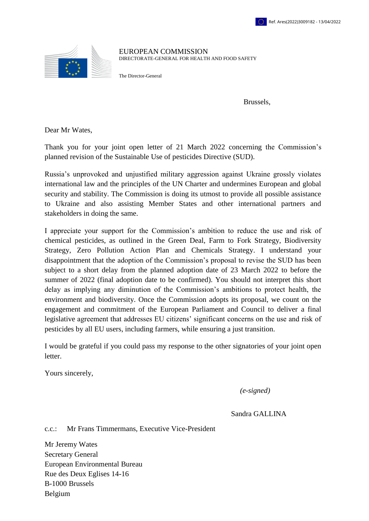

EUROPEAN COMMISSION DIRECTORATE-GENERAL FOR HEALTH AND FOOD SAFETY

The Director-General

Brussels,

Dear Mr Wates,

Thank you for your joint open letter of 21 March 2022 concerning the Commission's planned revision of the Sustainable Use of pesticides Directive (SUD).

Russia's unprovoked and unjustified military aggression against Ukraine grossly violates international law and the principles of the UN Charter and undermines European and global security and stability. The Commission is doing its utmost to provide all possible assistance to Ukraine and also assisting Member States and other international partners and stakeholders in doing the same.

I appreciate your support for the Commission's ambition to reduce the use and risk of chemical pesticides, as outlined in the Green Deal, Farm to Fork Strategy, Biodiversity Strategy, Zero Pollution Action Plan and Chemicals Strategy. I understand your disappointment that the adoption of the Commission's proposal to revise the SUD has been subject to a short delay from the planned adoption date of 23 March 2022 to before the summer of 2022 (final adoption date to be confirmed). You should not interpret this short delay as implying any diminution of the Commission's ambitions to protect health, the environment and biodiversity. Once the Commission adopts its proposal, we count on the engagement and commitment of the European Parliament and Council to deliver a final legislative agreement that addresses EU citizens' significant concerns on the use and risk of pesticides by all EU users, including farmers, while ensuring a just transition.

I would be grateful if you could pass my response to the other signatories of your joint open letter.

Yours sincerely,

*(e-signed)*

Sandra GALLINA

c.c.: Mr Frans Timmermans, Executive Vice-President

Mr Jeremy Wates Secretary General European Environmental Bureau Rue des Deux Eglises 14-16 B-1000 Brussels Belgium